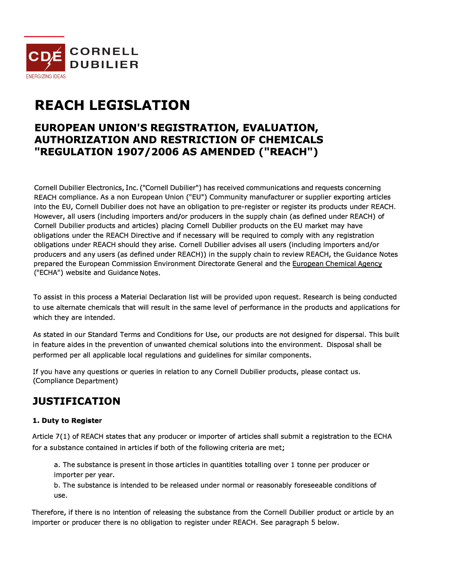

# **REACH LEGISLATION**

### **EUROPEAN UNION'S REGISTRATION, EVALUATION, AUTHORIZATION AND RESTRICTION OF CHEMICALS "REGULATION 1907 /2006 AS AMENDED ("REACH")**

Cornell Dubilier Electronics, Inc. ("Cornell Dubilier") has received communications and requests concerning REACH compliance. As a non European Union ("EU") Community manufacturer or supplier exporting articles into the EU, Cornell Dubilier does not have an obligation to pre-register or register its products under REACH. However, all users (including importers and/or producers in the supply chain (as defined under REACH) of Cornell Dubilier products and articles) placing Cornell Dubllier products on the EU market may have obligations under the REACH Directive and if necessary will be required to comply with any registration obligations under REACH should they arise. Cornell Dubllier advises all users (including importers and/or producers and any users (as defined under REACH)) in the supply chain to review REACH, the Guidance Notes prepared the European Commission Environment Directorate General and the European Chemical Agency ("ECHA") website and Guidance Notes.

To assist in this process a Material Declaration list will be provided upon request. Research is being conducted to use alternate chemicals that will result in the same level of performance in the products and applications for which they are intended.

As stated in our Standard Terms and Conditions for Use, our products are not designed for dispersal. This built in feature aides in the prevention of unwanted chemical solutions into the environment. Disposal shall be performed per all applicable local regulations and guidelines for similar components.

If you have any questions or queries in relation to any Cornell Dubilier products, please contact us. (Compliance Department)

## **JUSTIFICATION**

### **1. Duty to Register**

Article 7(1) of REACH states that any producer or importer of articles shall submit a registration to the ECHA for a substance contained in articles if both of the following criteria are met;

a. The substance is present in those articles in quantities totalling over 1 tonne per producer or importer per year.

b. The substance is intended to be released under normal or reasonably foreseeable conditions of use.

Therefore, if there is no intention of releasing the substance from the Cornell Dubifier product or article by an importer or producer there is no obligation to register under REACH. See paragraph 5 below.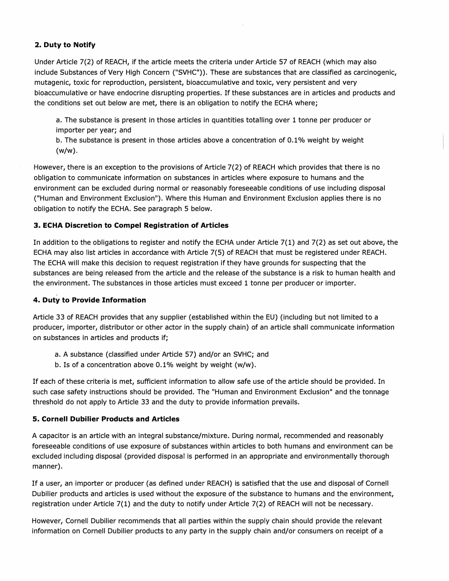#### **2. Duty to Notify**

Under Article 7(2) of REACH, if the article meets the criteria under Article 57 of REACH (which may also include Substances of Very High Concern ("SVHC")). These are substances that are classified as carcinogenic, mutagenic, toxic for reproduction, persistent, bioaccumulative and toxic, very persistent and very bioaccumulative or have endocrine disrupting properties. If these substances are in articles and products and the conditions set out below are met, there is an obligation to notify the ECHA where;

a. The substance is present in those articles in quantities totalling over 1 tonne per producer or importer per year; and

b. The substance is present in those articles above a concentration of 0.1 % weight by weight (w/w).

However, there is an exception to the provisions of Article 7(2) of REACH which provides that there is no obligation to communicate information on substances in articles where exposure to humans and the environment can be excluded during normal or reasonably foreseeable conditions of use including disposal ("Human and Environment Exclusion"). Where this Human and Environment Exclusion applies there is no obligation to notify the ECHA. See paragraph 5 below.

#### **3. ECHA Discretion to Compel Registration of Articles**

In addition to the obligations to register and notify the ECHA under Article 7(1) and 7(2) as set out above, the ECHA may also list articles in accordance with Article 7(5) of REACH that must be registered under REACH. The ECHA will make this decision to request registration if they have grounds for suspecting that the substances are being released from the article and the release of the substance is a risk to human health and the environment. The substances in those articles must exceed 1 tonne per producer or importer.

#### **4. Duty to Provide Information**

Article 33 of REACH provides that any supplier (established within the EU) (including but not limited to a producer, importer, distributor or other actor in the supply chain) of an article shall communicate information on substances in articles and products if;

- a. A substance (classified under Article 57) and/or an SVHC; and
- b. Is of a concentration above 0.1% weight by weight (w/w).

If each of these criteria is met, sufficient information to allow safe use of the article should be provided. In such case safety instructions should be provided. The "Human and Environment Exclusion" and the tonnage threshold do not apply to Article 33 and the duty to provide information prevails.

#### **5. Cornell Dubilier Products and Articles**

A capacitor is an article with an integral substance/mixture. During normal, recommended and reasonably foreseeable conditions of use exposure of substances within articles to both humans and environment can be excluded including disposal (provided disposal is performed in an appropriate and environmentally thorough manner).

If a user, an importer or producer (as defined under REACH) is satisfied that the use and disposal of Cornell Dubilier products and articles is used without the exposure of the substance to humans and the environment, registration under Article 7(1) and the duty to notify under Article 7(2) of REACH will not be necessary.

However, Cornell Dubilier recommends that all parties within the supply chain should provide the relevant information on Cornell Dubilier products to any party in the supply chain and/or consumers on receipt of a